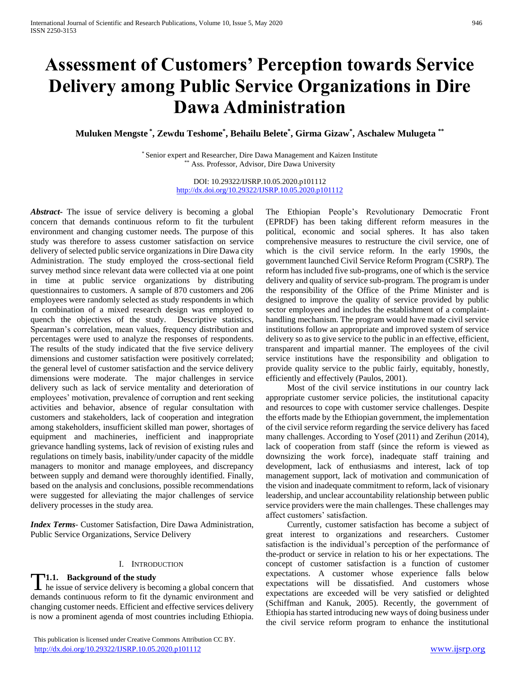# **Assessment of Customers' Perception towards Service Delivery among Public Service Organizations in Dire Dawa Administration**

**Muluken Mengste \* , Zewdu Teshome\* , Behailu Belete\* , Girma Gizaw\* , Aschalew Mulugeta \*\***

\* Senior expert and Researcher, Dire Dawa Management and Kaizen Institute \*\* Ass. Professor, Advisor, Dire Dawa University

> DOI: 10.29322/IJSRP.10.05.2020.p101112 <http://dx.doi.org/10.29322/IJSRP.10.05.2020.p101112>

*Abstract***-** The issue of service delivery is becoming a global concern that demands continuous reform to fit the turbulent environment and changing customer needs. The purpose of this study was therefore to assess customer satisfaction on service delivery of selected public service organizations in Dire Dawa city Administration. The study employed the cross-sectional field survey method since relevant data were collected via at one point in time at public service organizations by distributing questionnaires to customers. A sample of 870 customers and 206 employees were randomly selected as study respondents in which In combination of a mixed research design was employed to quench the objectives of the study. Descriptive statistics, Spearman's correlation, mean values, frequency distribution and percentages were used to analyze the responses of respondents. The results of the study indicated that the five service delivery dimensions and customer satisfaction were positively correlated; the general level of customer satisfaction and the service delivery dimensions were moderate. The major challenges in service delivery such as lack of service mentality and deterioration of employees' motivation, prevalence of corruption and rent seeking activities and behavior, absence of regular consultation with customers and stakeholders, lack of cooperation and integration among stakeholders, insufficient skilled man power, shortages of equipment and machineries, inefficient and inappropriate grievance handling systems, lack of revision of existing rules and regulations on timely basis, inability/under capacity of the middle managers to monitor and manage employees, and discrepancy between supply and demand were thoroughly identified. Finally, based on the analysis and conclusions, possible recommendations were suggested for alleviating the major challenges of service delivery processes in the study area.

*Index Terms*- Customer Satisfaction, Dire Dawa Administration, Public Service Organizations, Service Delivery

## I. INTRODUCTION

## **1.1.** Background of the study

**T1.1.** Background of the study<br>he issue of service delivery is becoming a global concern that demands continuous reform to fit the dynamic environment and changing customer needs. Efficient and effective services delivery is now a prominent agenda of most countries including Ethiopia.

 This publication is licensed under Creative Commons Attribution CC BY. <http://dx.doi.org/10.29322/IJSRP.10.05.2020.p101112> [www.ijsrp.org](http://ijsrp.org/)

The Ethiopian People's Revolutionary Democratic Front (EPRDF) has been taking different reform measures in the political, economic and social spheres. It has also taken comprehensive measures to restructure the civil service, one of which is the civil service reform. In the early 1990s, the government launched Civil Service Reform Program (CSRP). The reform has included five sub-programs, one of which is the service delivery and quality of service sub-program. The program is under the responsibility of the Office of the Prime Minister and is designed to improve the quality of service provided by public sector employees and includes the establishment of a complainthandling mechanism. The program would have made civil service institutions follow an appropriate and improved system of service delivery so as to give service to the public in an effective, efficient, transparent and impartial manner. The employees of the civil service institutions have the responsibility and obligation to provide quality service to the public fairly, equitably, honestly, efficiently and effectively (Paulos, 2001).

 Most of the civil service institutions in our country lack appropriate customer service policies, the institutional capacity and resources to cope with customer service challenges. Despite the efforts made by the Ethiopian government, the implementation of the civil service reform regarding the service delivery has faced many challenges. According to Yosef (2011) and Zerihun (2014), lack of cooperation from staff (since the reform is viewed as downsizing the work force), inadequate staff training and development, lack of enthusiasms and interest, lack of top management support, lack of motivation and communication of the vision and inadequate commitment to reform, lack of visionary leadership, and unclear accountability relationship between public service providers were the main challenges. These challenges may affect customers' satisfaction.

 Currently, customer satisfaction has become a subject of great interest to organizations and researchers. Customer satisfaction is the individual's perception of the performance of the-product or service in relation to his or her expectations. The concept of customer satisfaction is a function of customer expectations. A customer whose experience falls below expectations will be dissatisfied. And customers whose expectations are exceeded will be very satisfied or delighted (Schiffman and Kanuk, 2005). Recently, the government of Ethiopia has started introducing new ways of doing business under the civil service reform program to enhance the institutional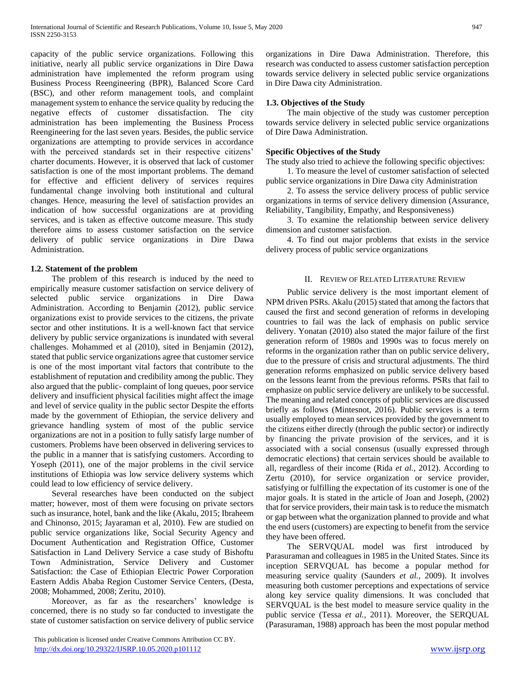capacity of the public service organizations. Following this initiative, nearly all public service organizations in Dire Dawa administration have implemented the reform program using Business Process Reengineering (BPR), Balanced Score Card (BSC), and other reform management tools, and complaint management system to enhance the service quality by reducing the negative effects of customer dissatisfaction. The city administration has been implementing the Business Process Reengineering for the last seven years. Besides, the public service organizations are attempting to provide services in accordance with the perceived standards set in their respective citizens' charter documents. However, it is observed that lack of customer satisfaction is one of the most important problems. The demand for effective and efficient delivery of services requires fundamental change involving both institutional and cultural changes. Hence, measuring the level of satisfaction provides an indication of how successful organizations are at providing services, and is taken as effective outcome measure. This study therefore aims to assess customer satisfaction on the service delivery of public service organizations in Dire Dawa Administration.

## **1.2. Statement of the problem**

 The problem of this research is induced by the need to empirically measure customer satisfaction on service delivery of selected public service organizations in Dire Dawa Administration. According to Benjamin (2012), public service organizations exist to provide services to the citizens, the private sector and other institutions. It is a well-known fact that service delivery by public service organizations is inundated with several challenges. Mohammed et al (2010), sited in Benjamin (2012), stated that public service organizations agree that customer service is one of the most important vital factors that contribute to the establishment of reputation and credibility among the public. They also argued that the public- complaint of long queues, poor service delivery and insufficient physical facilities might affect the image and level of service quality in the public sector Despite the efforts made by the government of Ethiopian, the service delivery and grievance handling system of most of the public service organizations are not in a position to fully satisfy large number of customers. Problems have been observed in delivering services to the public in a manner that is satisfying customers. According to Yoseph (2011), one of the major problems in the civil service institutions of Ethiopia was low service delivery systems which could lead to low efficiency of service delivery.

 Several researches have been conducted on the subject matter; however, most of them were focusing on private sectors such as insurance, hotel, bank and the like (Akalu, 2015; Ibraheem and Chinonso, 2015; Jayaraman et al, 2010). Few are studied on public service organizations like, Social Security Agency and Document Authentication and Registration Office, Customer Satisfaction in Land Delivery Service a case study of Bishoftu Town Administration, Service Delivery and Customer Satisfaction: the Case of Ethiopian Electric Power Corporation Eastern Addis Ababa Region Customer Service Centers, (Desta, 2008; Mohammed, 2008; Zeritu, 2010).

 Moreover, as far as the researchers' knowledge is concerned, there is no study so far conducted to investigate the state of customer satisfaction on service delivery of public service

 This publication is licensed under Creative Commons Attribution CC BY. <http://dx.doi.org/10.29322/IJSRP.10.05.2020.p101112> [www.ijsrp.org](http://ijsrp.org/)

organizations in Dire Dawa Administration. Therefore, this research was conducted to assess customer satisfaction perception towards service delivery in selected public service organizations in Dire Dawa city Administration.

## **1.3. Objectives of the Study**

 The main objective of the study was customer perception towards service delivery in selected public service organizations of Dire Dawa Administration.

## **Specific Objectives of the Study**

The study also tried to achieve the following specific objectives:

 1. To measure the level of customer satisfaction of selected public service organizations in Dire Dawa city Administration

 2. To assess the service delivery process of public service organizations in terms of service delivery dimension (Assurance, Reliability, Tangibility, Empathy, and Responsiveness)

 3. To examine the relationship between service delivery dimension and customer satisfaction.

 4. To find out major problems that exists in the service delivery process of public service organizations

## II. REVIEW OF RELATED LITERATURE REVIEW

 Public service delivery is the most important element of NPM driven PSRs. Akalu (2015) stated that among the factors that caused the first and second generation of reforms in developing countries to fail was the lack of emphasis on public service delivery. Yonatan (2010) also stated the major failure of the first generation reform of 1980s and 1990s was to focus merely on reforms in the organization rather than on public service delivery, due to the pressure of crisis and structural adjustments. The third generation reforms emphasized on public service delivery based on the lessons learnt from the previous reforms. PSRs that fail to emphasize on public service delivery are unlikely to be successful. The meaning and related concepts of public services are discussed briefly as follows (Mintesnot, 2016). Public services is a term usually employed to mean services provided by the government to the citizens either directly (through the public sector) or indirectly by financing the private provision of the services, and it is associated with a social consensus (usually expressed through democratic elections) that certain services should be available to all, regardless of their income (Rida *et al.,* 2012). According to Zertu (2010), for service organization or service provider, satisfying or fulfilling the expectation of its customer is one of the major goals. It is stated in the article of Joan and Joseph, (2002) that for service providers, their main task is to reduce the mismatch or gap between what the organization planned to provide and what the end users (customers) are expecting to benefit from the service they have been offered.

 The SERVQUAL model was first introduced by Parasuraman and colleagues in 1985 in the United States. Since its inception SERVQUAL has become a popular method for measuring service quality (Saunders *et al.,* 2009). It involves measuring both customer perceptions and expectations of service along key service quality dimensions. It was concluded that SERVQUAL is the best model to measure service quality in the public service (Tessa *et al.,* 2011). Moreover, the SERQUAL (Parasuraman, 1988) approach has been the most popular method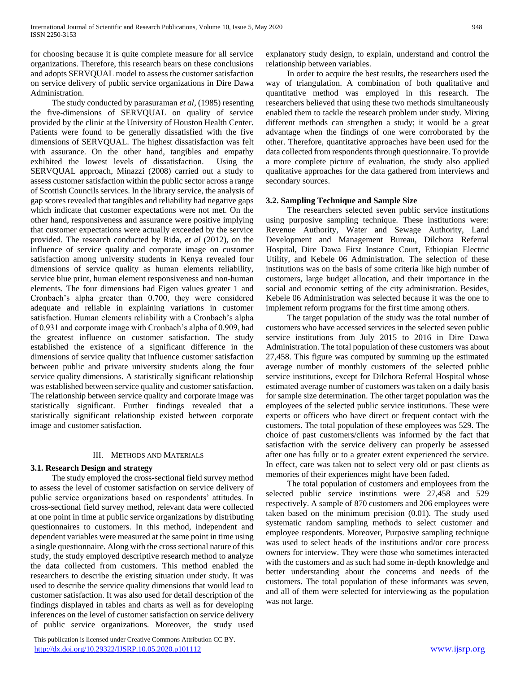for choosing because it is quite complete measure for all service organizations. Therefore, this research bears on these conclusions and adopts SERVQUAL model to assess the customer satisfaction on service delivery of public service organizations in Dire Dawa Administration.

 The study conducted by parasuraman *et al,* (1985) resenting the five-dimensions of SERVQUAL on quality of service provided by the clinic at the University of Houston Health Center. Patients were found to be generally dissatisfied with the five dimensions of SERVQUAL. The highest dissatisfaction was felt with assurance. On the other hand, tangibles and empathy exhibited the lowest levels of dissatisfaction. Using the SERVQUAL approach, Minazzi (2008) carried out a study to assess customer satisfaction within the public sector across a range of Scottish Councils services. In the library service, the analysis of gap scores revealed that tangibles and reliability had negative gaps which indicate that customer expectations were not met. On the other hand, responsiveness and assurance were positive implying that customer expectations were actually exceeded by the service provided. The research conducted by Rida, *et al* (2012), on the influence of service quality and corporate image on customer satisfaction among university students in Kenya revealed four dimensions of service quality as human elements reliability, service blue print, human element responsiveness and non-human elements. The four dimensions had Eigen values greater 1 and Cronbach's alpha greater than 0.700, they were considered adequate and reliable in explaining variations in customer satisfaction. Human elements reliability with a Cronbach's alpha of 0.931 and corporate image with Cronbach's alpha of 0.909, had the greatest influence on customer satisfaction. The study established the existence of a significant difference in the dimensions of service quality that influence customer satisfaction between public and private university students along the four service quality dimensions. A statistically significant relationship was established between service quality and customer satisfaction. The relationship between service quality and corporate image was statistically significant. Further findings revealed that a statistically significant relationship existed between corporate image and customer satisfaction.

## III. METHODS AND MATERIALS

## **3.1. Research Design and strategy**

 The study employed the cross-sectional field survey method to assess the level of customer satisfaction on service delivery of public service organizations based on respondents' attitudes. In cross-sectional field survey method, relevant data were collected at one point in time at public service organizations by distributing questionnaires to customers. In this method, independent and dependent variables were measured at the same point in time using a single questionnaire. Along with the cross sectional nature of this study, the study employed descriptive research method to analyze the data collected from customers. This method enabled the researchers to describe the existing situation under study. It was used to describe the service quality dimensions that would lead to customer satisfaction. It was also used for detail description of the findings displayed in tables and charts as well as for developing inferences on the level of customer satisfaction on service delivery of public service organizations. Moreover, the study used

 This publication is licensed under Creative Commons Attribution CC BY. <http://dx.doi.org/10.29322/IJSRP.10.05.2020.p101112> [www.ijsrp.org](http://ijsrp.org/)

explanatory study design, to explain, understand and control the relationship between variables.

 In order to acquire the best results, the researchers used the way of triangulation. A combination of both qualitative and quantitative method was employed in this research. The researchers believed that using these two methods simultaneously enabled them to tackle the research problem under study. Mixing different methods can strengthen a study; it would be a great advantage when the findings of one were corroborated by the other. Therefore, quantitative approaches have been used for the data collected from respondents through questionnaire. To provide a more complete picture of evaluation, the study also applied qualitative approaches for the data gathered from interviews and secondary sources.

## **3.2. Sampling Technique and Sample Size**

 The researchers selected seven public service institutions using purposive sampling technique. These institutions were: Revenue Authority, Water and Sewage Authority, Land Development and Management Bureau, Dilchora Referral Hospital, Dire Dawa First Instance Court, Ethiopian Electric Utility, and Kebele 06 Administration. The selection of these institutions was on the basis of some criteria like high number of customers, large budget allocation, and their importance in the social and economic setting of the city administration. Besides, Kebele 06 Administration was selected because it was the one to implement reform programs for the first time among others.

 The target population of the study was the total number of customers who have accessed services in the selected seven public service institutions from July 2015 to 2016 in Dire Dawa Administration. The total population of these customers was about 27,458. This figure was computed by summing up the estimated average number of monthly customers of the selected public service institutions, except for Dilchora Referral Hospital whose estimated average number of customers was taken on a daily basis for sample size determination. The other target population was the employees of the selected public service institutions. These were experts or officers who have direct or frequent contact with the customers. The total population of these employees was 529. The choice of past customers/clients was informed by the fact that satisfaction with the service delivery can properly be assessed after one has fully or to a greater extent experienced the service. In effect, care was taken not to select very old or past clients as memories of their experiences might have been faded.

 The total population of customers and employees from the selected public service institutions were 27,458 and 529 respectively. A sample of 870 customers and 206 employees were taken based on the minimum precision (0.01). The study used systematic random sampling methods to select customer and employee respondents. Moreover, Purposive sampling technique was used to select heads of the institutions and/or core process owners for interview. They were those who sometimes interacted with the customers and as such had some in-depth knowledge and better understanding about the concerns and needs of the customers. The total population of these informants was seven, and all of them were selected for interviewing as the population was not large.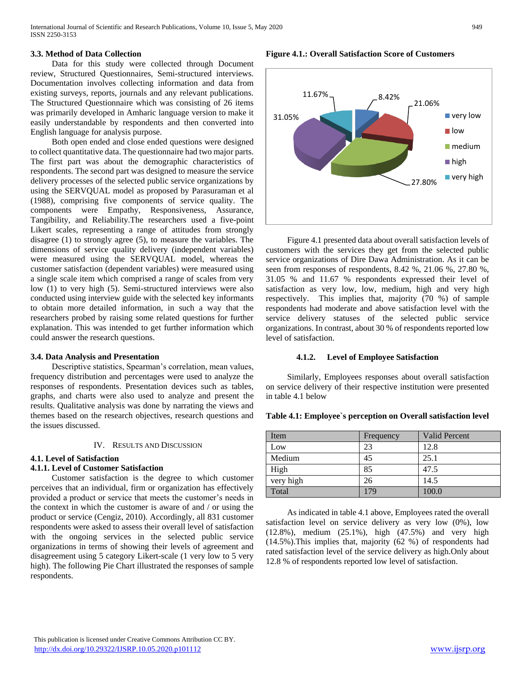## **3.3. Method of Data Collection**

 Data for this study were collected through Document review, Structured Questionnaires, Semi-structured interviews. Documentation involves collecting information and data from existing surveys, reports, journals and any relevant publications. The Structured Questionnaire which was consisting of 26 items was primarily developed in Amharic language version to make it easily understandable by respondents and then converted into English language for analysis purpose.

 Both open ended and close ended questions were designed to collect quantitative data. The questionnaire had two major parts. The first part was about the demographic characteristics of respondents. The second part was designed to measure the service delivery processes of the selected public service organizations by using the SERVQUAL model as proposed by Parasuraman et al (1988), comprising five components of service quality. The components were Empathy, Responsiveness, Assurance, Tangibility, and Reliability.The researchers used a five-point Likert scales, representing a range of attitudes from strongly disagree (1) to strongly agree (5), to measure the variables. The dimensions of service quality delivery (independent variables) were measured using the SERVQUAL model, whereas the customer satisfaction (dependent variables) were measured using a single scale item which comprised a range of scales from very low (1) to very high (5). Semi-structured interviews were also conducted using interview guide with the selected key informants to obtain more detailed information, in such a way that the researchers probed by raising some related questions for further explanation. This was intended to get further information which could answer the research questions.

### **3.4. Data Analysis and Presentation**

 Descriptive statistics, Spearman's correlation, mean values, frequency distribution and percentages were used to analyze the responses of respondents. Presentation devices such as tables, graphs, and charts were also used to analyze and present the results. Qualitative analysis was done by narrating the views and themes based on the research objectives, research questions and the issues discussed.

## IV. RESULTS AND DISCUSSION

## **4.1. Level of Satisfaction**

## **4.1.1. Level of Customer Satisfaction**

 Customer satisfaction is the degree to which customer perceives that an individual, firm or organization has effectively provided a product or service that meets the customer's needs in the context in which the customer is aware of and / or using the product or service (Cengiz, 2010). Accordingly, all 831 customer respondents were asked to assess their overall level of satisfaction with the ongoing services in the selected public service organizations in terms of showing their levels of agreement and disagreement using 5 category Likert-scale (1 very low to 5 very high). The following Pie Chart illustrated the responses of sample respondents.

**Figure 4.1.: Overall Satisfaction Score of Customers**



 Figure 4.1 presented data about overall satisfaction levels of customers with the services they get from the selected public service organizations of Dire Dawa Administration. As it can be seen from responses of respondents, 8.42 %, 21.06 %, 27.80 %, 31.05 % and 11.67 % respondents expressed their level of satisfaction as very low, low, medium, high and very high respectively. This implies that, majority (70 %) of sample respondents had moderate and above satisfaction level with the service delivery statuses of the selected public service organizations. In contrast, about 30 % of respondents reported low level of satisfaction.

### **4.1.2. Level of Employee Satisfaction**

 Similarly, Employees responses about overall satisfaction on service delivery of their respective institution were presented in table 4.1 below

| Item      | Frequency | <b>Valid Percent</b> |
|-----------|-----------|----------------------|
| Low       | 23        | 12.8                 |
| Medium    | 45        | 25.1                 |
| High      | 85        | 47.5                 |
| very high | 26        | 14.5                 |
| Total     | 179       | 100.0                |

**Table 4.1: Employee`s perception on Overall satisfaction level**

 As indicated in table 4.1 above, Employees rated the overall satisfaction level on service delivery as very low (0%), low (12.8%), medium (25.1%), high (47.5%) and very high (14.5%).This implies that, majority (62 %) of respondents had rated satisfaction level of the service delivery as high.Only about 12.8 % of respondents reported low level of satisfaction.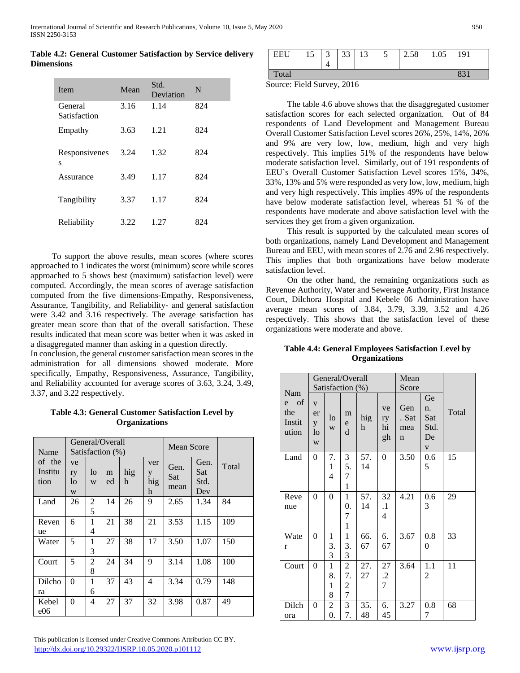**Table 4.2: General Customer Satisfaction by Service delivery Dimensions**

| <b>I</b> tem            | Mean | Std.<br>Deviation | N   |
|-------------------------|------|-------------------|-----|
| General<br>Satisfaction | 3.16 | 1.14              | 824 |
| Empathy                 | 3.63 | 1.21              | 824 |
| Responsivenes<br>S      | 3.24 | 1.32              | 824 |
| Assurance               | 3.49 | 1.17              | 824 |
| Tangibility             | 3.37 | 1.17              | 824 |
| Reliability             | 3.22 | 1.27              | 824 |

 To support the above results, mean scores (where scores approached to 1 indicates the worst (minimum) score while scores approached to 5 shows best (maximum) satisfaction level) were computed. Accordingly, the mean scores of average satisfaction computed from the five dimensions-Empathy, Responsiveness, Assurance, Tangibility, and Reliability- and general satisfaction were 3.42 and 3.16 respectively. The average satisfaction has greater mean score than that of the overall satisfaction. These results indicated that mean score was better when it was asked in a disaggregated manner than asking in a question directly.

In conclusion, the general customer satisfaction mean scores in the administration for all dimensions showed moderate. More specifically, Empathy, Responsiveness, Assurance, Tangibility, and Reliability accounted for average scores of 3.63, 3.24, 3.49, 3.37, and 3.22 respectively.

**Table 4.3: General Customer Satisfaction Level by Organizations**

| Name                      |                     |         | General/Overall<br>Satisfaction (%) |          | <b>Mean Score</b>    |                     |                            |       |
|---------------------------|---------------------|---------|-------------------------------------|----------|----------------------|---------------------|----------------------------|-------|
| of the<br>Institu<br>tion | ve<br>ry<br>lo<br>W | lo<br>W | m<br>ed                             | hig<br>h | ver<br>y<br>hig<br>h | Gen.<br>Sat<br>mean | Gen.<br>Sat<br>Std.<br>Dev | Total |
| Land                      | 26                  | 2<br>5  | 14                                  | 26       | 9                    | 2.65                | 1.34                       | 84    |
| Reven<br>ue               | 6                   | 1<br>4  | 21                                  | 38       | 21                   | 3.53                | 1.15                       | 109   |
| Water                     | 5                   | 1<br>3  | 27                                  | 38       | 17                   | 3.50                | 1.07                       | 150   |
| Court                     | 5                   | 2<br>8  | 24                                  | 34       | 9                    | 3.14                | 1.08                       | 100   |
| Dilcho<br>ra              | $\theta$            | 1<br>6  | 37                                  | 43       | 4                    | 3.34                | 0.79                       | 148   |
| Kebel<br>e06              | 0                   | 4       | 27                                  | 37       | 32                   | 3.98                | 0.87                       | 49    |

| EEU   | 15 | $\sim$<br>$\mathcal{L}$ | 33 | 13 | J | 2.58 | 1.05 | 191 |
|-------|----|-------------------------|----|----|---|------|------|-----|
| Total |    |                         |    |    |   |      |      | 021 |

Source: Field Survey, 2016

 The table 4.6 above shows that the disaggregated customer satisfaction scores for each selected organization. Out of 84 respondents of Land Development and Management Bureau Overall Customer Satisfaction Level scores 26%, 25%, 14%, 26% and 9% are very low, low, medium, high and very high respectively. This implies 51% of the respondents have below moderate satisfaction level. Similarly, out of 191 respondents of EEU`s Overall Customer Satisfaction Level scores 15%, 34%, 33%, 13% and 5% were responded as very low, low, medium, high and very high respectively. This implies 49% of the respondents have below moderate satisfaction level, whereas 51 % of the respondents have moderate and above satisfaction level with the services they get from a given organization.

 This result is supported by the calculated mean scores of both organizations, namely Land Development and Management Bureau and EEU, with mean scores of 2.76 and 2.96 respectively. This implies that both organizations have below moderate satisfaction level.

 On the other hand, the remaining organizations such as Revenue Authority, Water and Sewerage Authority, First Instance Court, Dilchora Hospital and Kebele 06 Administration have average mean scores of 3.84, 3.79, 3.39, 3.52 and 4.26 respectively. This shows that the satisfaction level of these organizations were moderate and above.

|                                       |                                       |                                         | General/Overall<br>Satisfaction (%)           |           | Mean<br>Score                   |                          |                                               |       |
|---------------------------------------|---------------------------------------|-----------------------------------------|-----------------------------------------------|-----------|---------------------------------|--------------------------|-----------------------------------------------|-------|
| Nam<br>e of<br>the<br>Instit<br>ution | $\mathbf V$<br>er<br>y<br>$\log$<br>W | $\log$<br>W                             | m<br>${\rm e}$<br>d                           | hig<br>h  | ve<br>ry<br>hi<br>gh            | Gen<br>. Sat<br>mea<br>n | Ge<br>n.<br>Sat<br>Std.<br>De<br>$\mathbf{V}$ | Total |
| Land                                  | $\boldsymbol{0}$                      | 7.<br>$\mathbf{1}$<br>4                 | 3<br>5.<br>7<br>$\mathbf{1}$                  | 57.<br>14 | $\boldsymbol{0}$                | 3.50                     | 0.6<br>5                                      | 15    |
| Reve<br>nue                           | $\overline{0}$                        | 0                                       | $\mathbf{1}$<br>0.<br>7<br>$\mathbf{1}$       | 57.<br>14 | 32<br>$\cdot$<br>4              | 4.21                     | 0.6<br>3                                      | 29    |
| Wate<br>r                             | $\boldsymbol{0}$                      | $\mathbf{1}$<br>3.<br>3                 | $\mathbf{1}$<br>3.<br>$\overline{\mathbf{3}}$ | 66.<br>67 | 6.<br>67                        | 3.67                     | 0.8<br>$\overline{0}$                         | 33    |
| Court                                 | $\theta$                              | $\mathbf{1}$<br>8.<br>$\mathbf{1}$<br>8 | $\overline{c}$<br>7.<br>$\frac{2}{7}$         | 27.<br>27 | 27<br>$\cdot$<br>$\overline{7}$ | 3.64                     | 1.1<br>$\overline{c}$                         | 11    |
| Dilch<br>ora                          | $\overline{0}$                        | $\overline{c}$<br>$\overline{0}$ .      | 3<br>7.                                       | 35.<br>48 | 6.<br>45                        | 3.27                     | 0.8<br>7                                      | 68    |

**Table 4.4: General Employees Satisfaction Level by Organizations**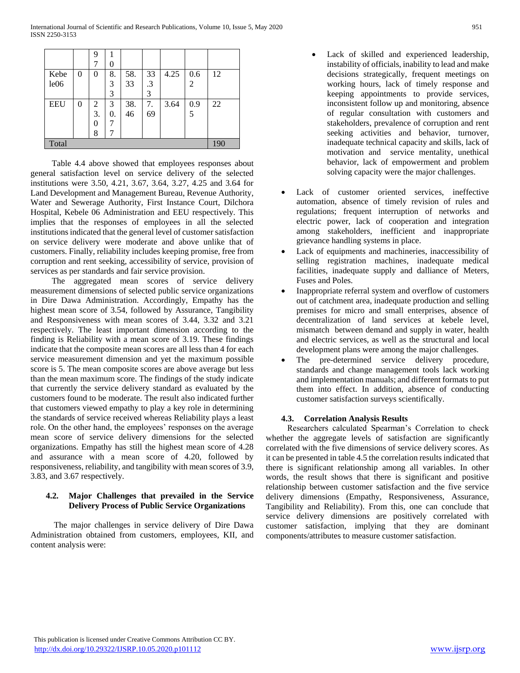|                  |     | 9  |    |     |    |      |                 |    |
|------------------|-----|----|----|-----|----|------|-----------------|----|
|                  |     |    | 0  |     |    |      |                 |    |
| Kebe             | 0   | 0  | 8. | 58. | 33 | 4.25 | 0.6             | 12 |
| le <sub>06</sub> |     |    | 3  | 33  | .3 |      | $\overline{2}$  |    |
|                  |     |    | 3  |     | 3  |      |                 |    |
| <b>EEU</b>       | 0   | 2  | 3  | 38. | 7. | 3.64 | $\frac{0.9}{5}$ | 22 |
|                  |     | 3. | 0. | 46  | 69 |      |                 |    |
|                  |     | 0  | 7  |     |    |      |                 |    |
|                  |     | 8  |    |     |    |      |                 |    |
| Total            | 190 |    |    |     |    |      |                 |    |

 Table 4.4 above showed that employees responses about general satisfaction level on service delivery of the selected institutions were 3.50, 4.21, 3.67, 3.64, 3.27, 4.25 and 3.64 for Land Development and Management Bureau, Revenue Authority, Water and Sewerage Authority, First Instance Court, Dilchora Hospital, Kebele 06 Administration and EEU respectively. This implies that the responses of employees in all the selected institutions indicated that the general level of customer satisfaction on service delivery were moderate and above unlike that of customers. Finally, reliability includes keeping promise, free from corruption and rent seeking, accessibility of service, provision of services as per standards and fair service provision.

 The aggregated mean scores of service delivery measurement dimensions of selected public service organizations in Dire Dawa Administration. Accordingly, Empathy has the highest mean score of 3.54, followed by Assurance, Tangibility and Responsiveness with mean scores of 3.44, 3.32 and 3.21 respectively. The least important dimension according to the finding is Reliability with a mean score of 3.19. These findings indicate that the composite mean scores are all less than 4 for each service measurement dimension and yet the maximum possible score is 5. The mean composite scores are above average but less than the mean maximum score. The findings of the study indicate that currently the service delivery standard as evaluated by the customers found to be moderate. The result also indicated further that customers viewed empathy to play a key role in determining the standards of service received whereas Reliability plays a least role. On the other hand, the employees' responses on the average mean score of service delivery dimensions for the selected organizations. Empathy has still the highest mean score of 4.28 and assurance with a mean score of 4.20, followed by responsiveness, reliability, and tangibility with mean scores of 3.9, 3.83, and 3.67 respectively.

# **4.2. Major Challenges that prevailed in the Service Delivery Process of Public Service Organizations**

 The major challenges in service delivery of Dire Dawa Administration obtained from customers, employees, KII, and content analysis were:

- Lack of skilled and experienced leadership, instability of officials, inability to lead and make decisions strategically, frequent meetings on working hours, lack of timely response and keeping appointments to provide services, inconsistent follow up and monitoring, absence of regular consultation with customers and stakeholders, prevalence of corruption and rent seeking activities and behavior, turnover, inadequate technical capacity and skills, lack of motivation and service mentality, unethical behavior, lack of empowerment and problem solving capacity were the major challenges.
- Lack of customer oriented services, ineffective automation, absence of timely revision of rules and regulations; frequent interruption of networks and electric power, lack of cooperation and integration among stakeholders, inefficient and inappropriate grievance handling systems in place.
- Lack of equipments and machineries, inaccessibility of selling registration machines, inadequate medical facilities, inadequate supply and dalliance of Meters, Fuses and Poles.
- Inappropriate referral system and overflow of customers out of catchment area, inadequate production and selling premises for micro and small enterprises, absence of decentralization of land services at kebele level, mismatch between demand and supply in water, health and electric services, as well as the structural and local development plans were among the major challenges.
- The pre-determined service delivery procedure, standards and change management tools lack working and implementation manuals; and different formats to put them into effect. In addition, absence of conducting customer satisfaction surveys scientifically.

## **4.3. Correlation Analysis Results**

 Researchers calculated Spearman's Correlation to check whether the aggregate levels of satisfaction are significantly correlated with the five dimensions of service delivery scores. As it can be presented in table 4.5 the correlation results indicated that there is significant relationship among all variables. In other words, the result shows that there is significant and positive relationship between customer satisfaction and the five service delivery dimensions (Empathy, Responsiveness, Assurance, Tangibility and Reliability). From this, one can conclude that service delivery dimensions are positively correlated with customer satisfaction, implying that they are dominant components/attributes to measure customer satisfaction.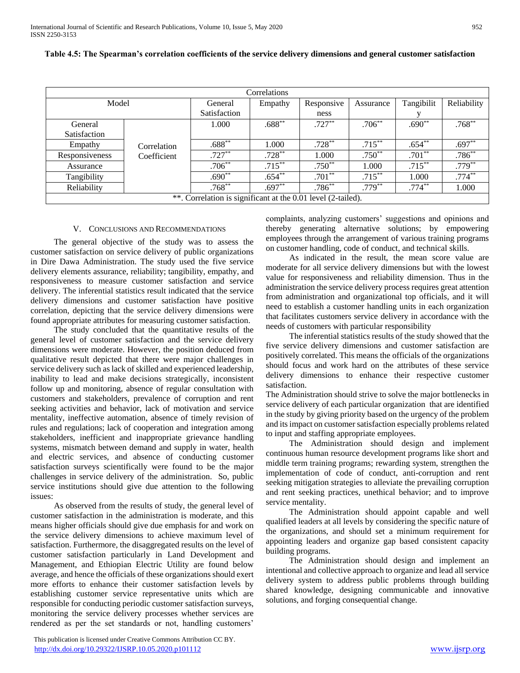| Correlations                                                 |             |              |           |            |           |            |             |  |  |  |
|--------------------------------------------------------------|-------------|--------------|-----------|------------|-----------|------------|-------------|--|--|--|
| Model                                                        |             | General      | Empathy   | Responsive | Assurance | Tangibilit | Reliability |  |  |  |
|                                                              |             | Satisfaction |           | ness       |           |            |             |  |  |  |
| General                                                      |             | 1.000        | $.688**$  | $.727***$  | $.706**$  | $.690**$   | $.768**$    |  |  |  |
| Satisfaction                                                 |             |              |           |            |           |            |             |  |  |  |
| Empathy                                                      | Correlation | $.688**$     | 1.000     | $.728***$  | $.715***$ | $.654**$   | $.697**$    |  |  |  |
| Responsiveness                                               | Coefficient | $.727**$     | $.728***$ | 1.000      | $.750**$  | $.701**$   | $.786**$    |  |  |  |
| Assurance                                                    |             | $.706***$    | $.715***$ | $.750**$   | 1.000     | $.715***$  | $.779***$   |  |  |  |
| Tangibility                                                  |             | $.690**$     | $.654**$  | $.701**$   | $.715***$ | 1.000      | $.774***$   |  |  |  |
| Reliability                                                  |             | $.768**$     | $.697**$  | $.786**$   | $.779**$  | $.774***$  | 1.000       |  |  |  |
| **. Correlation is significant at the 0.01 level (2-tailed). |             |              |           |            |           |            |             |  |  |  |

|  | Table 4.5: The Spearman's correlation coefficients of the service delivery dimensions and general customer satisfaction |  |  |  |  |
|--|-------------------------------------------------------------------------------------------------------------------------|--|--|--|--|
|  |                                                                                                                         |  |  |  |  |

## V. CONCLUSIONS AND RECOMMENDATIONS

 The general objective of the study was to assess the customer satisfaction on service delivery of public organizations in Dire Dawa Administration. The study used the five service delivery elements assurance, reliability; tangibility, empathy, and responsiveness to measure customer satisfaction and service delivery. The inferential statistics result indicated that the service delivery dimensions and customer satisfaction have positive correlation, depicting that the service delivery dimensions were found appropriate attributes for measuring customer satisfaction.

 The study concluded that the quantitative results of the general level of customer satisfaction and the service delivery dimensions were moderate. However, the position deduced from qualitative result depicted that there were major challenges in service delivery such as lack of skilled and experienced leadership, inability to lead and make decisions strategically, inconsistent follow up and monitoring, absence of regular consultation with customers and stakeholders, prevalence of corruption and rent seeking activities and behavior, lack of motivation and service mentality, ineffective automation, absence of timely revision of rules and regulations; lack of cooperation and integration among stakeholders, inefficient and inappropriate grievance handling systems, mismatch between demand and supply in water, health and electric services, and absence of conducting customer satisfaction surveys scientifically were found to be the major challenges in service delivery of the administration. So, public service institutions should give due attention to the following issues:

 As observed from the results of study, the general level of customer satisfaction in the administration is moderate, and this means higher officials should give due emphasis for and work on the service delivery dimensions to achieve maximum level of satisfaction. Furthermore, the disaggregated results on the level of customer satisfaction particularly in Land Development and Management, and Ethiopian Electric Utility are found below average, and hence the officials of these organizations should exert more efforts to enhance their customer satisfaction levels by establishing customer service representative units which are responsible for conducting periodic customer satisfaction surveys, monitoring the service delivery processes whether services are rendered as per the set standards or not, handling customers'

 This publication is licensed under Creative Commons Attribution CC BY. <http://dx.doi.org/10.29322/IJSRP.10.05.2020.p101112> [www.ijsrp.org](http://ijsrp.org/)

complaints, analyzing customers' suggestions and opinions and thereby generating alternative solutions; by empowering employees through the arrangement of various training programs on customer handling, code of conduct, and technical skills.

 As indicated in the result, the mean score value are moderate for all service delivery dimensions but with the lowest value for responsiveness and reliability dimension. Thus in the administration the service delivery process requires great attention from administration and organizational top officials, and it will need to establish a customer handling units in each organization that facilitates customers service delivery in accordance with the needs of customers with particular responsibility

 The inferential statistics results of the study showed that the five service delivery dimensions and customer satisfaction are positively correlated. This means the officials of the organizations should focus and work hard on the attributes of these service delivery dimensions to enhance their respective customer satisfaction.

The Administration should strive to solve the major bottlenecks in service delivery of each particular organization that are identified in the study by giving priority based on the urgency of the problem and its impact on customer satisfaction especially problems related to input and staffing appropriate employees.

 The Administration should design and implement continuous human resource development programs like short and middle term training programs; rewarding system, strengthen the implementation of code of conduct, anti-corruption and rent seeking mitigation strategies to alleviate the prevailing corruption and rent seeking practices, unethical behavior; and to improve service mentality.

 The Administration should appoint capable and well qualified leaders at all levels by considering the specific nature of the organizations, and should set a minimum requirement for appointing leaders and organize gap based consistent capacity building programs.

 The Administration should design and implement an intentional and collective approach to organize and lead all service delivery system to address public problems through building shared knowledge, designing communicable and innovative solutions, and forging consequential change.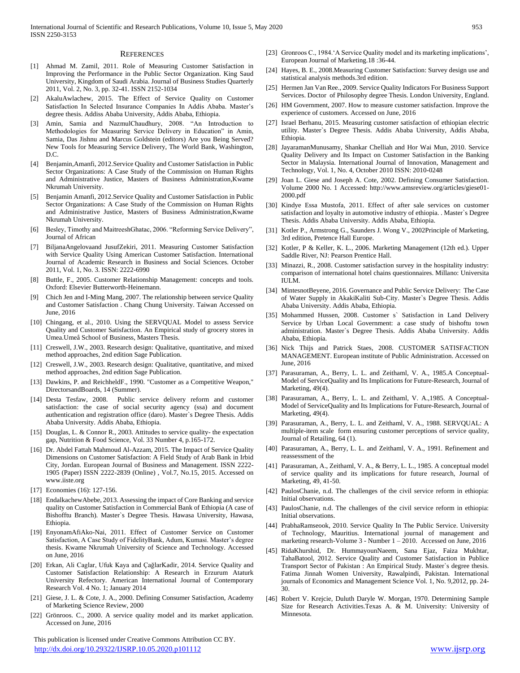#### **REFERENCES**

- [1] Ahmad M. Zamil, 2011. Role of Measuring Customer Satisfaction in Improving the Performance in the Public Sector Organization. King Saud University, Kingdom of Saudi Arabia. Journal of Business Studies Quarterly 2011, Vol. 2, No. 3, pp. 32-41. ISSN 2152-1034
- [2] AkaluAwlachew, 2015. The Effect of Service Quality on Customer Satisfaction In Selected Insurance Companies In Addis Ababa. Master's degree thesis. Addiss Ababa University, Addis Ababa, Ethiopia.
- [3] Amin, Samia and NazmulChaudhury, 2008. "An Introduction to Methodologies for Measuring Service Delivery in Education" in Amin, Samia, Das Jishnu and Marcus Goldstein (editors) Are you Being Served? New Tools for Measuring Service Delivery, The World Bank, Washington, D.C.
- [4] Benjamin,Amanfi, 2012.Service Quality and Customer Satisfaction in Public Sector Organizations: A Case Study of the Commission on Human Rights and Administrative Justice, Masters of Business Administration,Kwame Nkrumah University.
- [5] Benjamin Amanfi, 2012.Service Quality and Customer Satisfaction in Public Sector Organizations: A Case Study of the Commission on Human Rights and Administrative Justice, Masters of Business Administration,Kwame Nkrumah University.
- [6] Besley, Timothy and MaitreeshGhatac, 2006. "Reforming Service Delivery", Journal of African
- [7] BiljanaAngelovaand JusufZekiri, 2011. Measuring Customer Satisfaction with Service Quality Using American Customer Satisfaction. International Journal of Academic Research in Business and Social Sciences. October 2011, Vol. 1, No. 3. ISSN: 2222-6990
- [8] Buttle, F., 2005. Customer Relationship Management: concepts and tools. Oxford: Elsevier Butterworth-Heinemann.
- [9] Chich Jen and I-Ming Mang, 2007. The relationship between service Quality and Customer Satisfaction . Chang Chung University. Taiwan Accessed on June, 2016
- [10] Chingang, et al., 2010. Using the SERVQUAL Model to assess Service Quality and Customer Satisfaction. An Empirical study of grocery stores in Umea.Umeå School of Business, Masters Thesis.
- [11] Creswell, J.W., 2003. Research design: Qualitative, quantitative, and mixed method approaches, 2nd edition Sage Publication.
- [12] Creswell, J.W., 2003. Research design: Qualitative, quantitative, and mixed method approaches, 2nd edition Sage Publication.
- [13] Dawkins, P. and ReichheldF., 1990. "Customer as a Competitive Weapon," DirectorsandBoards, 14 (Summer).
- [14] Desta Tesfaw, 2008. Public service delivery reform and customer satisfaction: the case of social security agency (ssa) and document authentication and registration office (daro). Master`s Degree Thesis. Addis Ababa University. Addis Ababa, Ethiopia.
- [15] Douglas, L. & Connor R., 2003. Attitudes to service quality- the expectation gap, Nutrition & Food Science, Vol. 33 Number 4, p.165-172.
- [16] Dr. Abdel Fattah Mahmoud Al-Azzam, 2015. The Impact of Service Quality Dimensions on Customer Satisfaction: A Field Study of Arab Bank in Irbid City, Jordan. European Journal of Business and Management. ISSN 2222- 1905 (Paper) ISSN 2222-2839 (Online) , Vol.7, No.15, 2015. Accessed on www.iiste.org
- [17] Economies (16): 127-156.
- [18] EndalkachewAbebe, 2013. Assessing the impact of Core Banking and service quality on Customer Satisfaction in Commercial Bank of Ethiopia (A case of Bishofftu Branch). Master`s Degree Thesis. Hawasa University, Hawasa, Ethiopia.
- [19] EnyonamAfiAko-Nai, 2011. Effect of Customer Service on Customer Satisfaction, A Case Study of FidelityBank, Adum, Kumasi. Master's degree thesis. Kwame Nkrumah University of Science and Technology. Accessed on June, 2016
- [20] Erkan, Ali Caglar, Ufuk Kaya and ÇağlarKadir, 2014. Service Quality and Customer Satisfaction Relationship: A Research in Erzurum Ataturk University Refectory. American International Journal of Contemporary Research Vol. 4 No. 1; January 2014
- [21] Giese, J. L. & Cote, J. A., 2000. Defining Consumer Satisfaction, Academy of Marketing Science Review, 2000
- [22] Grönroos. C., 2000. A service quality model and its market application. Accessed on June, 2016

 This publication is licensed under Creative Commons Attribution CC BY. <http://dx.doi.org/10.29322/IJSRP.10.05.2020.p101112> [www.ijsrp.org](http://ijsrp.org/)

- [23] Gronroos C., 1984.' A Service Quality model and its marketing implications', European Journal of Marketing.18 :36-44.
- [24] Hayes, B. E., 2008.Measuring Customer Satisfaction: Survey design use and statistical analysis methods.3rd edition.
- [25] Hermen Jan Van Ree., 2009. Service Quality Indicators For Business Support Services. Doctor of Philosophy degree Thesis. London University, England.
- [26] HM Government, 2007. How to measure customer satisfaction. Improve the experience of customers. Accessed on June, 2016
- [27] Israel Berhanu, 2015. Measuring customer satisfaction of ethiopian electric utility. Master`s Degree Thesis. Addis Ababa University, Addis Ababa, Ethiopia.
- [28] JayaramanMunusamy, Shankar Chelliah and Hor Wai Mun, 2010. Service Quality Delivery and Its Impact on Customer Satisfaction in the Banking Sector in Malaysia. International Journal of Innovation, Management and Technology, Vol. 1, No. 4, October 2010 ISSN: 2010-0248
- [29] Joan L. Giese and Joseph A. Cote, 2002. Defining Consumer Satisfaction. Volume 2000 No. 1 Accessed: http://www.amsreview.org/articles/giese01- 2000.pdf
- [30] Kindye Essa Mustofa, 2011. Effect of after sale services on customer satisfaction and loyalty in automotive industry of ethiopia. . Master`s Degree Thesis. Addis Ababa University. Addis Ababa, Ethiopia.
- [31] Kotler P., Armstrong G., Saunders J. Wong V., 2002Principle of Marketing, 3rd edition, Pretence Hall Europe.
- [32] Kotler, P & Keller, K. L., 2006. Marketing Management (12th ed.). Upper Saddle River, NJ: Pearson Prentice Hall.
- [33] Minazzi, R., 2008. Customer satisfaction survey in the hospitality industry: comparison of international hotel chains questionnaires. Millano: Universita IULM.
- [34] MintesnotBeyene, 2016. Governance and Public Service Delivery: The Case of Water Supply in AkakiKaliti Sub-City. Master`s Degree Thesis. Addis Ababa University. Addis Ababa, Ethiopia.
- [35] Mohammed Hussen, 2008. Customer s` Satisfaction in Land Delivery Service by Urban Local Government: a case study of bishoftu town administration. Master`s Degree Thesis. Addis Ababa University. Addis Ababa, Ethiopia.
- [36] Nick Thijs and Patrick Staes, 2008. CUSTOMER SATISFACTION MANAGEMENT. European institute of Public Administration. Accessed on June, 2016
- [37] Parasuraman, A., Berry, L. L. and Zeithaml, V. A., 1985.A Conceptual-Model of ServiceQuality and Its Implications for Future-Research, Journal of Marketing, 49(4).
- [38] Parasuraman, A., Berry, L. L. and Zeithaml, V. A., 1985. A Conceptual-Model of ServiceQuality and Its Implications for Future-Research, Journal of Marketing, 49(4).
- [39] Parasuraman, A., Berry, L. L. and Zeithaml, V. A., 1988. SERVQUAL: A multiple-item scale form ensuring customer perceptions of service quality, Journal of Retailing, 64 (1).
- [40] Parasuraman, A., Berry, L. L. and Zeithaml, V. A., 1991. Refinement and reassessment of the
- [41] Parasuraman, A., Zeithaml, V. A., & Berry, L. L., 1985. A conceptual model of service quality and its implications for future research, Journal of Marketing, 49, 41-50.
- [42] PaulosChanie, n.d. The challenges of the civil service reform in ethiopia: Initial observations.
- [43] PaulosChanie, n.d. The challenges of the civil service reform in ethiopia: Initial observations.
- [44] PrabhaRamseook, 2010. Service Quality In The Public Service. University of Technology, Mauritius. International journal of management and marketing research-Volume  $3$  - Number  $1 - 2010$ . Accessed on June, 2016
- [45] RidaKhurshid, Dr. HummayounNaeem, Sana Ejaz, Faiza Mukhtar, TahaBatool, 2012. Service Quality and Customer Satisfaction in Publice Transport Sector of Pakistan : An Empirical Study. Master`s degree thesis. Fatima Jinnah Women University, Rawalpindi, Pakistan. International journals of Economics and Management Science Vol. 1, No. 9,2012, pp. 24- 30.
- [46] Robert V. Krejcie, Duluth Daryle W. Morgan, 1970. Determining Sample Size for Research Activities.Texas A. & M. University: University of Minnesota.